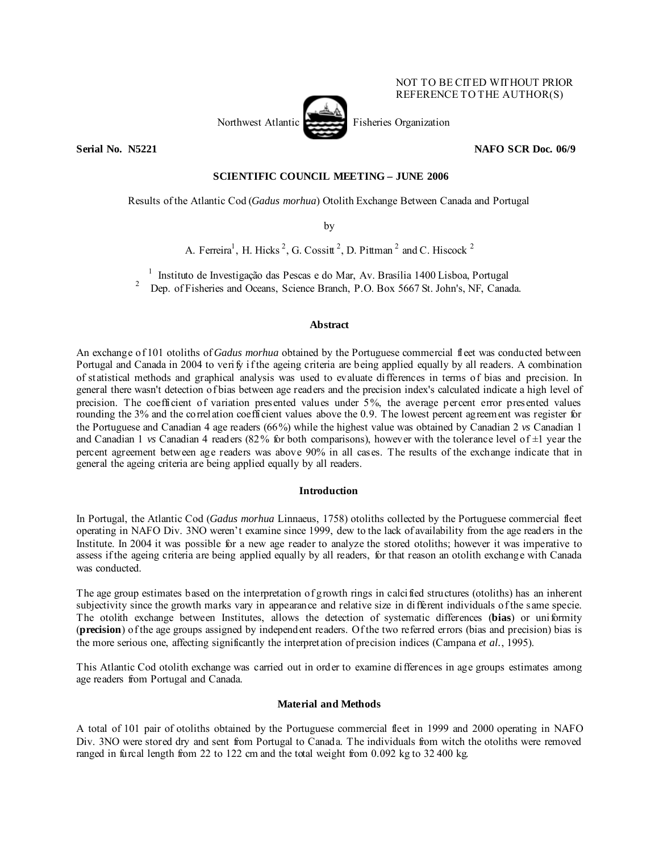## NOT TO BE CITED WITHOUT PRIOR REFERENCE TO THE AUTHOR(S)



**Serial No. N5221** NAFO SCR Doc. 06/9

# **SCIENTIFIC COUNCIL MEETING – JUNE 2006**

Results of the Atlantic Cod (*Gadus morhua*) Otolith Exchange Between Canada and Portugal

by

A. Ferreira<sup>1</sup>, H. Hicks<sup>2</sup>, G. Cossitt<sup>2</sup>, D. Pittman<sup>2</sup> and C. Hiscock<sup>2</sup>

<sup>1</sup> Instituto de Investigação das Pescas e do Mar, Av. Brasília 1400 Lisboa, Portugal

2 Dep. of Fisheries and Oceans, Science Branch, P.O. Box 5667 St. John's, NF, Canada.

## **Abstract**

An exchange of 101 otoliths of *Gadus morhua* obtained by the Portuguese commercial fleet was conducted between Portugal and Canada in 2004 to verify if the ageing criteria are being applied equally by all readers. A combination of statistical methods and graphical analysis was used to evaluate differences in terms of bias and precision. In general there wasn't detection of bias between age readers and the precision index's calculated indicate a high level of precision. The coefficient of variation presented values under 5%, the average percent error presented values rounding the 3% and the correlation coefficient values above the 0.9. The lowest percent agreement was register for the Portuguese and Canadian 4 age readers (66%) while the highest value was obtained by Canadian 2 *vs* Canadian 1 and Canadian 1 *vs* Canadian 4 readers (82% for both comparisons), however with the tolerance level of  $\pm 1$  year the percent agreement between age readers was above 90% in all cases. The results of the exchange indicate that in general the ageing criteria are being applied equally by all readers.

# **Introduction**

In Portugal, the Atlantic Cod (*Gadus morhua* Linnaeus, 1758) otoliths collected by the Portuguese commercial fleet operating in NAFO Div. 3NO weren't examine since 1999, dew to the lack of availability from the age readers in the Institute. In 2004 it was possible for a new age reader to analyze the stored otoliths; however it was imperative to assess if the ageing criteria are being applied equally by all readers, for that reason an otolith exchange with Canada was conducted.

The age group estimates based on the interpretation of growth rings in calcified structures (otoliths) has an inherent subjectivity since the growth marks vary in appearance and relative size in different individuals of the same specie. The otolith exchange between Institutes, allows the detection of systematic differences (**bias**) or uniformity (**precision**) of the age groups assigned by independent readers. Of the two referred errors (bias and precision) bias is the more serious one, affecting significantly the interpretation of precision indices (Campana *et al.*, 1995).

This Atlantic Cod otolith exchange was carried out in order to examine differences in age groups estimates among age readers from Portugal and Canada.

# **Material and Methods**

A total of 101 pair of otoliths obtained by the Portuguese commercial fleet in 1999 and 2000 operating in NAFO Div. 3NO were stored dry and sent from Portugal to Canada. The individuals from witch the otoliths were removed ranged in furcal length from 22 to 122 cm and the total weight from  $0.092$  kg to 32 400 kg.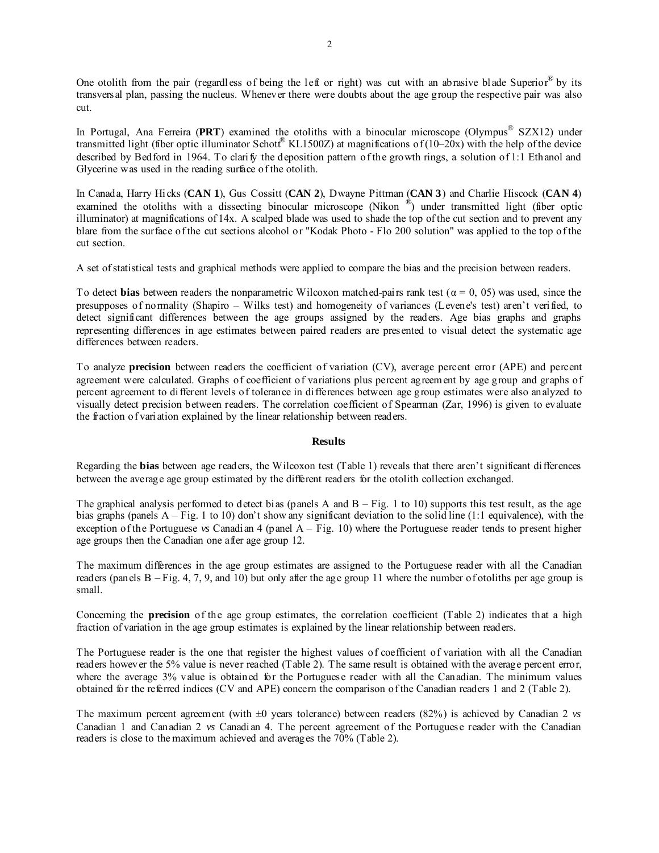One otolith from the pair (regardless of being the left or right) was cut with an abrasive blade Superior® by its transversal plan, passing the nucleus. Whenever there were doubts about the age group the respective pair was also cut.

In Portugal, Ana Ferreira (PRT) examined the otoliths with a binocular microscope (Olympus<sup>®</sup> SZX12) under transmitted light (fiber optic illuminator Schott® KL1500Z) at magnifications of  $(10-20x)$  with the help of the device described by Bedford in 1964. To clarify the deposition pattern of the growth rings, a solution of 1:1 Ethanol and Glycerine was used in the reading surface of the otolith.

In Canada, Harry Hicks (**CAN 1**), Gus Cossitt (**CAN 2**), Dwayne Pittman (**CAN 3**) and Charlie Hiscock (**CAN 4**) examined the otoliths with a dissecting binocular microscope (Nikon <sup>®</sup>) under transmitted light (fiber optic illuminator) at magnifications of 14x. A scalped blade was used to shade the top of the cut section and to prevent any blare from the surface of the cut sections alcohol or "Kodak Photo - Flo 200 solution" was applied to the top of the cut section.

A set of statistical tests and graphical methods were applied to compare the bias and the precision between readers.

To detect **bias** between readers the nonparametric Wilcoxon matched-pairs rank test ( $\alpha = 0, 05$ ) was used, since the presupposes of normality (Shapiro – Wilks test) and homogeneity of variances (Levene's test) aren't verified, to detect significant differences between the age groups assigned by the readers. Age bias graphs and graphs representing differences in age estimates between paired readers are presented to visual detect the systematic age differences between readers.

To analyze **precision** between readers the coefficient of variation (CV), average percent error (APE) and percent agreement were calculated. Graphs of coefficient of variations plus percent agreement by age group and graphs of percent agreement to different levels of tolerance in differences between age group estimates were also analyzed to visually detect precision between readers. The correlation coefficient of Spearman (Zar, 1996) is given to evaluate the fraction of variation explained by the linear relationship between readers.

## **Results**

Regarding the **bias** between age readers, the Wilcoxon test (Table 1) reveals that there aren't significant differences between the average age group estimated by the different readers for the otolith collection exchanged.

The graphical analysis performed to detect bias (panels A and  $B - Fig. 1$  to 10) supports this test result, as the age bias graphs (panels A – Fig. 1 to 10) don't show any significant deviation to the solid line (1:1 equivalence), with the exception of the Portuguese *vs* Canadian 4 (panel A – Fig. 10) where the Portuguese reader tends to present higher age groups then the Canadian one after age group 12.

The maximum differences in the age group estimates are assigned to the Portuguese reader with all the Canadian readers (panels  $B - Fig. 4, 7, 9$ , and 10) but only after the age group 11 where the number of otoliths per age group is small.

Concerning the **precision** of the age group estimates, the correlation coefficient (Table 2) indicates that a high fraction of variation in the age group estimates is explained by the linear relationship between readers.

The Portuguese reader is the one that register the highest values of coefficient of variation with all the Canadian readers however the 5% value is never reached (Table 2). The same result is obtained with the average percent error, where the average 3% value is obtained for the Portuguese reader with all the Canadian. The minimum values obtained for the referred indices (CV and APE) concern the comparison of the Canadian readers 1 and 2 (Table 2).

The maximum percent agreement (with ±0 years tolerance) between readers (82%) is achieved by Canadian 2 *vs*  Canadian 1 and Canadian 2 *vs* Canadian 4. The percent agreement of the Portuguese reader with the Canadian readers is close to the maximum achieved and averages the 70% (Table 2).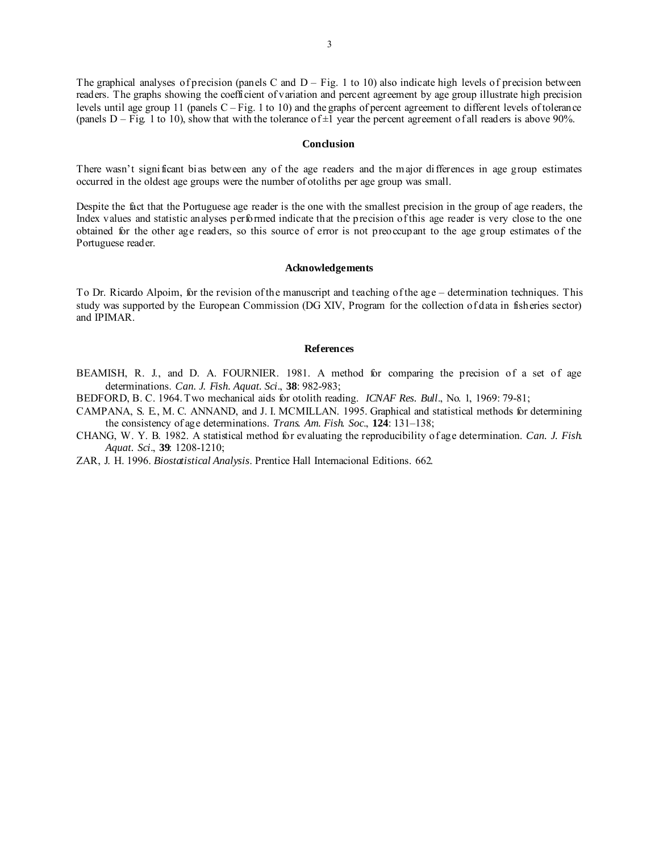The graphical analyses of precision (panels C and  $D - Fig. 1$  to 10) also indicate high levels of precision between readers. The graphs showing the coefficient of variation and percent agreement by age group illustrate high precision levels until age group 11 (panels C – Fig. 1 to 10) and the graphs of percent agreement to different levels of tolerance (panels  $D - Fig. 1 to 10$ ), show that with the tolerance of  $\pm 1$  year the percent agreement of all readers is above 90%.

#### **Conclusion**

There wasn't significant bias between any of the age readers and the major differences in age group estimates occurred in the oldest age groups were the number of otoliths per age group was small.

Despite the fact that the Portuguese age reader is the one with the smallest precision in the group of age readers, the Index values and statistic analyses performed indicate that the precision of this age reader is very close to the one obtained for the other age readers, so this source of error is not preoccupant to the age group estimates of the Portuguese reader.

### **Acknowledgements**

To Dr. Ricardo Alpoim, for the revision of the manuscript and teaching of the age – determination techniques. This study was supported by the European Commission (DG XIV, Program for the collection of data in fisheries sector) and IPIMAR.

### **References**

- BEAMISH, R. J., and D. A. FOURNIER. 1981. A method for comparing the precision of a set of age determinations. *Can. J. Fish. Aquat. Sci*., **38**: 982-983;
- BEDFORD, B. C. 1964. Two mechanical aids for otolith reading. *ICNAF Res. Bull*., No. 1, 1969: 79-81;
- CAMPANA, S. E., M. C. ANNAND, and J. I. MCMILLAN. 1995. Graphical and statistical methods for determining the consistency of age determinations. *Trans. Am. Fish. Soc*., **124**: 131–138;
- CHANG, W. Y. B. 1982. A statistical method for evaluating the reproducibility of age determination. *Can. J. Fish. Aquat. Sci*., **39**: 1208-1210;
- ZAR, J. H. 1996. *Biostatistical Analysis*. Prentice Hall Internacional Editions. 662.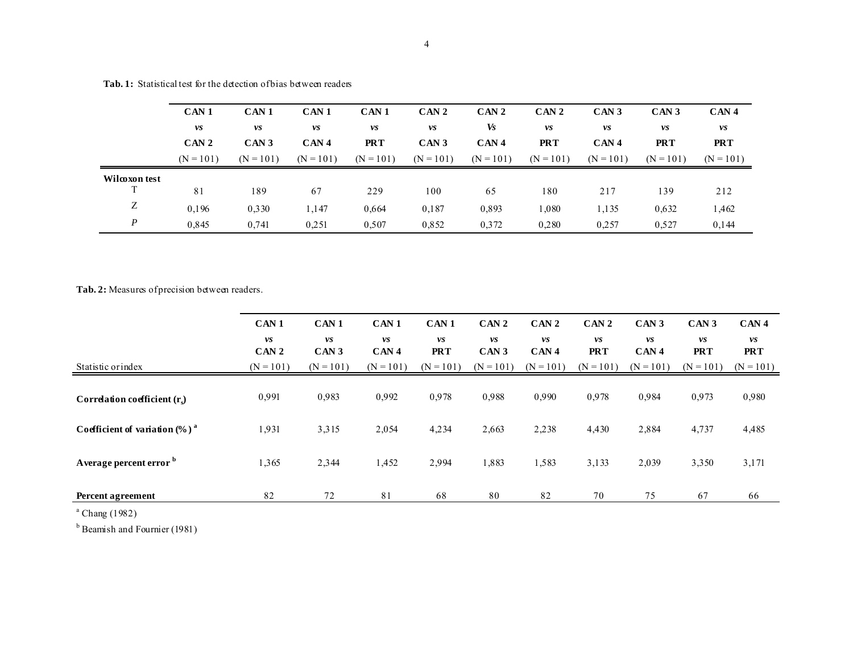|               | CAN <sub>1</sub> | CAN <sub>1</sub> | CAN <sub>1</sub> | CAN <sub>1</sub> | CAN <sub>2</sub> | CAN <sub>2</sub> | CAN <sub>2</sub> | CAN <sub>3</sub> | CAN <sub>3</sub> | CAN <sub>4</sub> |
|---------------|------------------|------------------|------------------|------------------|------------------|------------------|------------------|------------------|------------------|------------------|
|               | vs               | vs               | vs               | vs               | vs               | Vs               | vs               | vs               | vs               | vs               |
|               | CAN <sub>2</sub> | CAN <sub>3</sub> | CAN <sub>4</sub> | <b>PRT</b>       | CAN <sub>3</sub> | CAN <sub>4</sub> | <b>PRT</b>       | CAN <sub>4</sub> | <b>PRT</b>       | <b>PRT</b>       |
|               | $(N = 101)$      | $(N = 101)$      | $(N = 101)$      | $(N = 101)$      | $(N = 101)$      | $(N = 101)$      | $(N = 101)$      | $(N = 101)$      | $(N = 101)$      | $(N = 101)$      |
| Wilcoxon test |                  |                  |                  |                  |                  |                  |                  |                  |                  |                  |
| T             | 81               | 189              | 67               | 229              | 100              | 65               | 180              | 217              | 139              | 212              |
| Ζ             | 0,196            | 0,330            | 1.147            | 0.664            | 0,187            | 0.893            | ,080             | 1,135            | 0,632            | 1,462            |
| P             | 0,845            | 0,741            | 0.251            | 0,507            | 0.852            | 0.372            | 0.280            | 0.257            | 0,527            | 0,144            |

**Tab. 1:** Statistical test for the detection of bias between readers

Tab. 2: Measures of precision between readers.

| CAN <sub>1</sub><br>CAN <sub>1</sub><br>CAN <sub>1</sub><br>CAN <sub>1</sub><br>CAN <sub>2</sub><br>CAN <sub>2</sub><br>CAN <sub>2</sub><br>CAN <sub>3</sub><br>CAN <sub>3</sub><br>vs<br>vs<br>vs<br>vs<br>vs<br>vs<br>vs<br>vs<br>vs<br>vs<br><b>PRT</b><br>CAN <sub>3</sub><br>CAN <sub>4</sub><br><b>PRT</b><br>CAN <sub>3</sub><br>CAN <sub>4</sub><br><b>PRT</b><br>CAN <sub>4</sub><br><b>PRT</b><br>CAN <sub>2</sub><br>$(N = 101)$<br>$(N = 101)$<br>$(N = 101)$<br>$(N = 101)$<br>$(N = 101)$<br>$(N = 101)$<br>$(N = 101)$<br>$(N = 101)$<br>Statistic or index<br>$(N = 101)$<br>0,988<br>0,992<br>0,978<br>0.990<br>0,978<br>0,973<br>0,980<br>0,991<br>0,983<br>0.984<br>Correlation coefficient $(rc)$ |  |  |  |  |  |                  |
|-----------------------------------------------------------------------------------------------------------------------------------------------------------------------------------------------------------------------------------------------------------------------------------------------------------------------------------------------------------------------------------------------------------------------------------------------------------------------------------------------------------------------------------------------------------------------------------------------------------------------------------------------------------------------------------------------------------------------|--|--|--|--|--|------------------|
|                                                                                                                                                                                                                                                                                                                                                                                                                                                                                                                                                                                                                                                                                                                       |  |  |  |  |  | CAN <sub>4</sub> |
|                                                                                                                                                                                                                                                                                                                                                                                                                                                                                                                                                                                                                                                                                                                       |  |  |  |  |  |                  |
|                                                                                                                                                                                                                                                                                                                                                                                                                                                                                                                                                                                                                                                                                                                       |  |  |  |  |  | $(N = 101)$      |
|                                                                                                                                                                                                                                                                                                                                                                                                                                                                                                                                                                                                                                                                                                                       |  |  |  |  |  |                  |
| Coefficient of variation $(\%)$ <sup>a</sup><br>1,931<br>3,315<br>2,054<br>2,663<br>2,238<br>4,430<br>4,737<br>4,485<br>4,234<br>2,884                                                                                                                                                                                                                                                                                                                                                                                                                                                                                                                                                                                |  |  |  |  |  |                  |
| A verage percent error b<br>1,883<br>1,583<br>1,365<br>2,344<br>1,452<br>3,133<br>3,171<br>2,994<br>2,039<br>3,350                                                                                                                                                                                                                                                                                                                                                                                                                                                                                                                                                                                                    |  |  |  |  |  |                  |
| 72<br>67<br>81<br>80<br>70<br>75<br>82<br>68<br>82<br>66<br><b>Percent agreement</b><br>$9 \, \text{cm}$ $(400 \, \text{m})$                                                                                                                                                                                                                                                                                                                                                                                                                                                                                                                                                                                          |  |  |  |  |  |                  |

 $a$  Chang (1982)

<sup>b</sup> Beamish and Fournier (1981)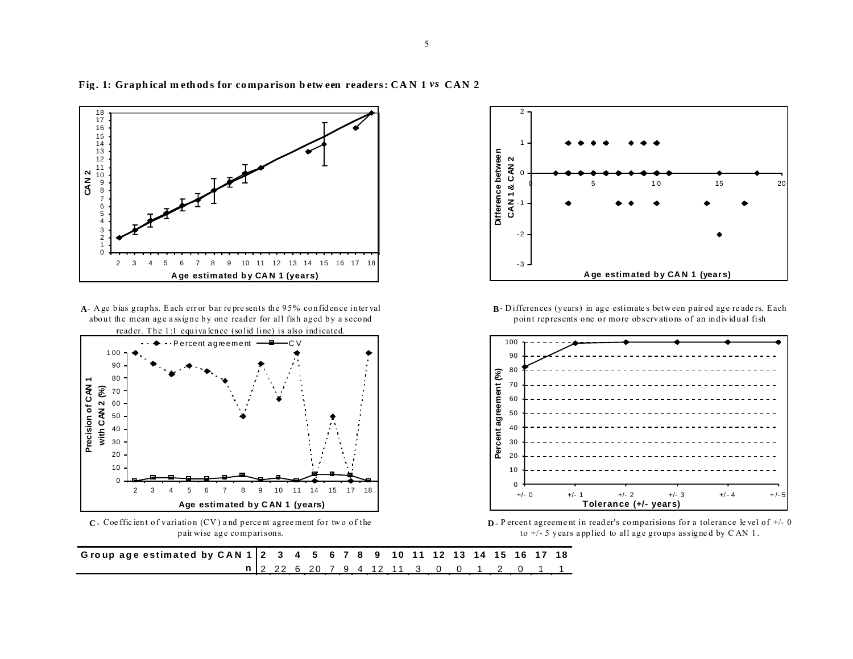

Fig. 1: Graphical methods for comparison between readers: CAN 1 vs CAN 2

**A-** A ge bias graphs. E ach err or bar re pre sents the 95% confidence inter val about the mean age a ssigne by one reader for all fish aged by a second reader. The 1:1 equivalence (solid line) is also indicated.



**C -** Coe ffic ient of variation (CV ) a nd perce nt agree ment for tw o of the pair wise age comparisons.



**B**-Differences (years) in age estimates between paired age readers. Each point represents one or more observations of an individual fish



**D-** P ercent agreement in reader's comparisions for a tolerance level of  $+/- 0$ to  $+/-$  5 years applied to all age groups assigned by CAN 1.

Group age estimated by CAN 1 2 3 4 5 6 7 8 9 10 11 12 13 14 15 16 17 18 **n** 2 22 6 20 7 9 4 12 11 3 0 0 1 2 0 1 1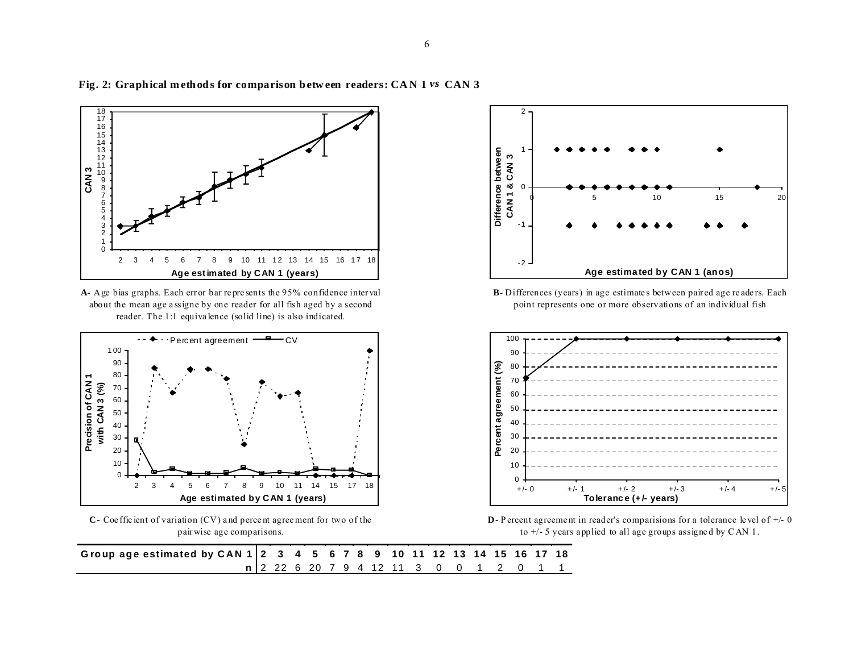

Fig. 2: Graphical methods for comparison between readers: CAN 1 vs CAN 3

**A-** Age bias graphs. Each err or bar re pre sents the 95% confidence inter val about the mean age a ssigne by one reader for all fish aged by a second reader. The 1:1 equiva lence (solid line) is also indicated.



**C-** Coe ffic ient of variation (CV) a nd perce nt agree ment for two of the pair wise age comparisons.



**B**- Differences (years) in age estimate s between pair ed age re ade rs. Each point represents one or more observations of an individual fish



**D**- P ercent agreement in reader's comparisions for a tolerance level of  $+/- 0$ to +/- 5 years a pplied to all age groups assigne d by C AN 1.

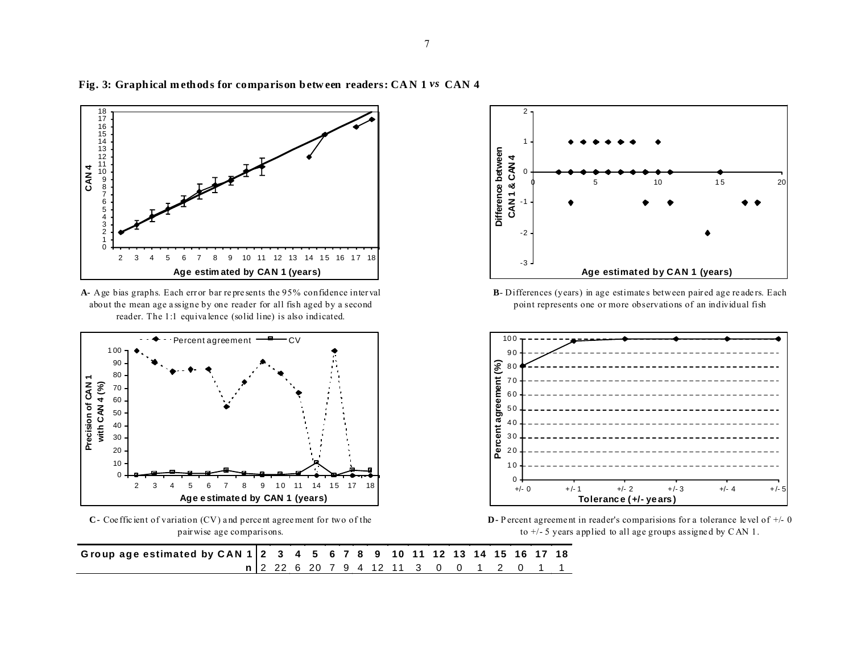

## Fig. 3: Graphical methods for comparison between readers: CAN 1 vs CAN 4





**C-** Coe ffic ient of variation (CV) a nd perce nt agree ment for two of the pair wise age comparisons.



**B**- Differences (years) in age estimate s between pair ed age re ade rs. Each point represents one or more observations of an individual fish



**D**- P ercent agreement in reader's comparisions for a tolerance level of  $+/- 0$ to +/- 5 years a pplied to all age groups assigne d by C AN 1.

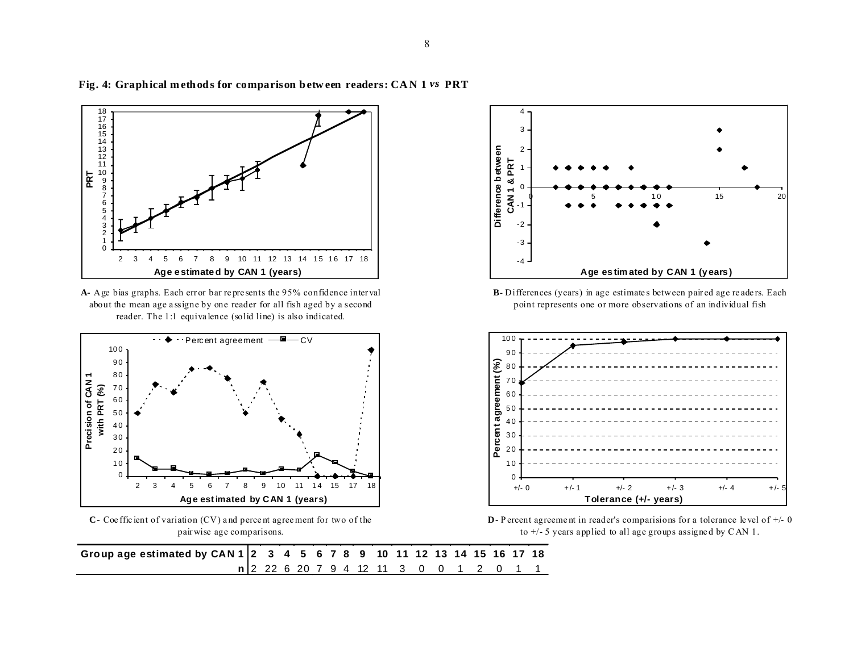

**Fig. 4: Graph ical m eth od s for comparison b etw een readers: CA N 1** *vs* **PRT**

**A-** Age bias graphs. Each err or bar re pre sents the 95% confidence inter val about the mean age a ssigne by one reader for all fish aged by a second reader. The 1:1 equiva lence (solid line) is also indicated.



**C-** Coe ffic ient of variation (CV) a nd perce nt agree ment for two of the pair wise age comparisons.



**B**- Differences (years) in age estimate s between pair ed age re ade rs. Each point represents one or more observations of an individual fish



**D**- P ercent agreement in reader's comparisions for a tolerance level of  $+/- 0$ to +/- 5 years a pplied to all age groups assigne d by C AN 1.

**Group age estimated by CAN 1 2 3 4 5 6 7 8 9 10 11 12 13 14 15 16 17 18 n** 2 22 6 20 7 9 4 12 11 3 0 0 1 2 0 1 1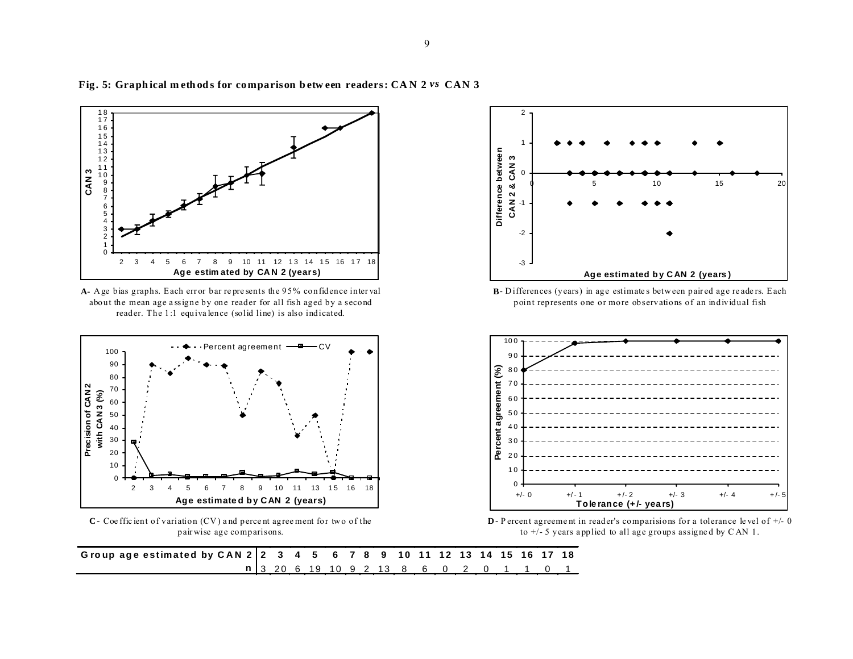

Fig. 5: Graphical methods for comparison between readers: CAN 2 vs CAN 3





**C -** Coe ffic ient of variation (CV ) a nd perce nt agree ment for tw o of the pair wise age comparisons.



**B**-Differences (years) in age estimates between paired age readers. Each point represents one or more observations of an individual fish



**D -** P ercent agreement in reader's comparisions for a tolerance level of  $+/- 0$ to +/- 5 years a pplied to all age groups assigne d by C AN 1.

**G ro up ag e estim ated by C A N 2 2 3 4 5 6 7 8 9 10 11 12 13 14 15 16 17 18 n** 3 20 6 19 10 9 2 13 8 6 0 2 0 1 1 0 1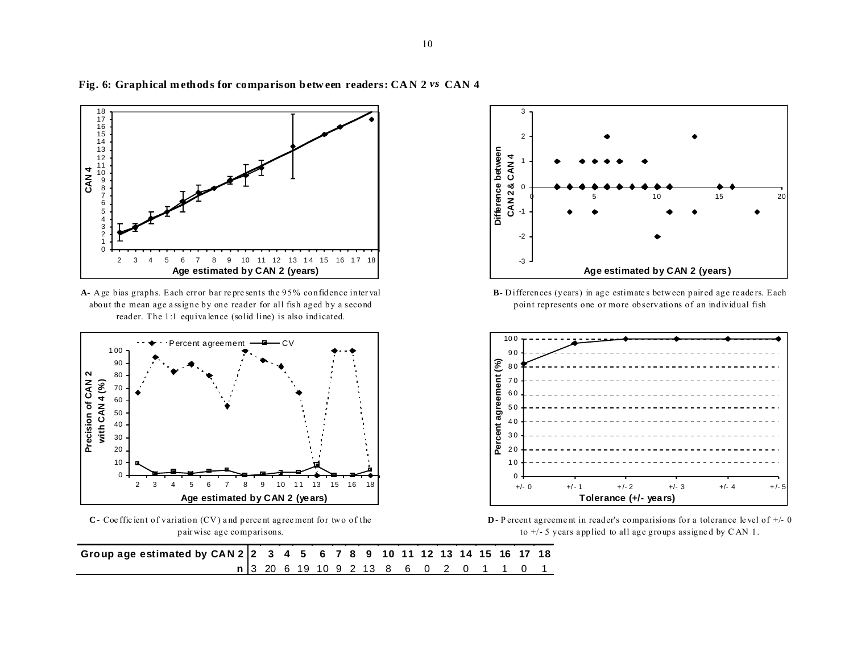

Fig. 6: Graphical methods for comparison between readers: CAN 2 vs CAN 4





**C -** Coe ffic ient of variation (CV ) a nd perce nt agree ment for tw o of the pair wise age comparisons.





**B**-Differences (years) in age estimates between paired age readers. Each point represents one or more observations of an individual fish



**D -** P ercent agreeme nt in reader's comparisions for a tolerance le vel of +/- 0 to +/- 5 years a pplied to all age groups assigne d by C AN 1.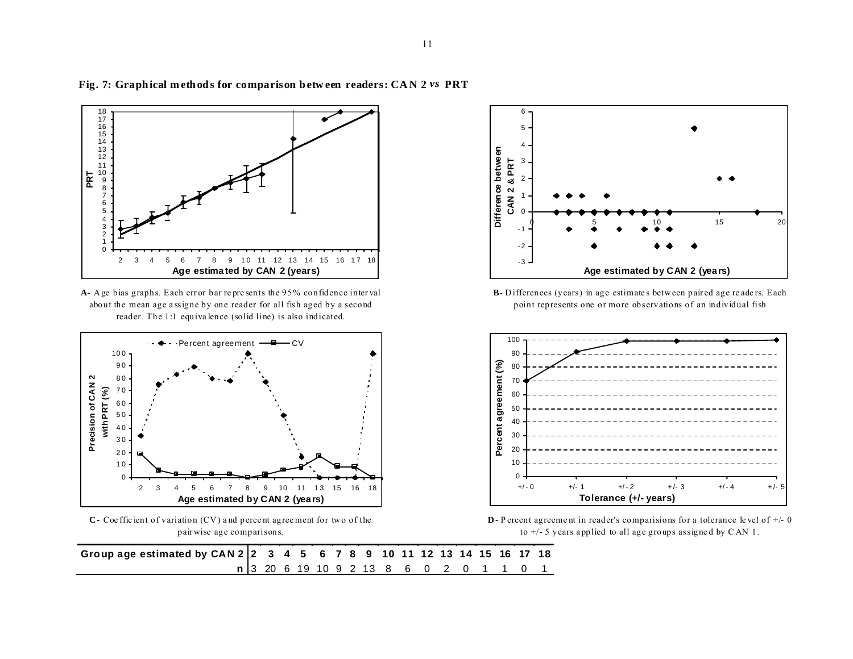

## **Fig. 7: Graph ical m eth od s for comparison b etw een readers: CA N 2** *vs* **PRT**





**C -** Coe ffic ient of variation (CV ) a nd perce nt agree ment for tw o of the pair wise age comparisons.



B- Differences (years) in age estimates between paired age readers. Each point represents one or more observations of an individual fish



**D -** P ercent agreement in reader's comparisions for a tolerance level of  $+/- 0$ to +/- 5 years a pplied to all age groups assigne d by C AN 1.

| Group age estimated by CAN 2 2 3 4 5 6 7 8 9 10 11 12 13 14 15 16 17 18 |  |  |  |  |  |  |                                         |  |  |
|-------------------------------------------------------------------------|--|--|--|--|--|--|-----------------------------------------|--|--|
|                                                                         |  |  |  |  |  |  | n 3 20 6 19 10 9 2 13 8 6 0 2 0 1 1 0 1 |  |  |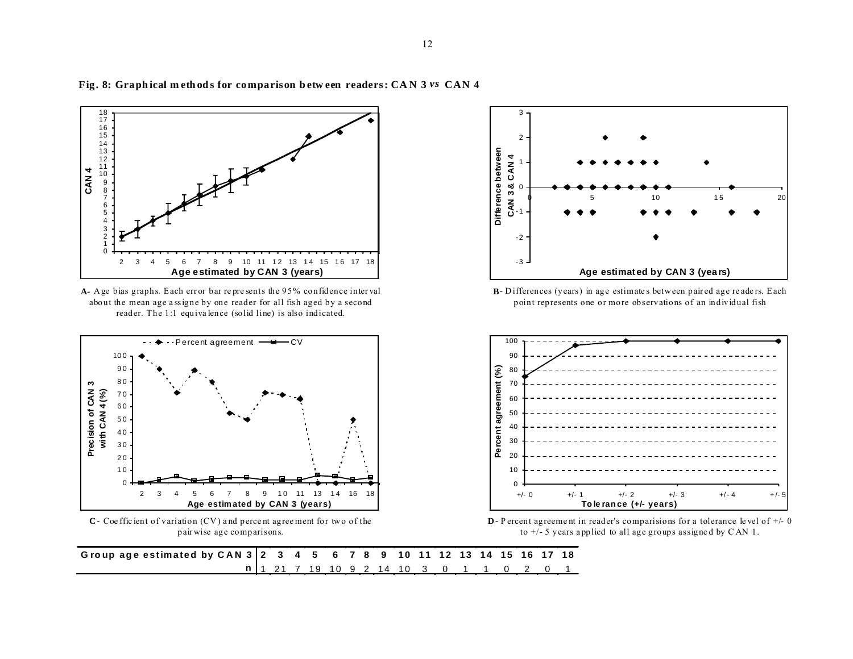

#### Fig. 8: Graphical methods for comparison between readers: CAN 3 vs CAN 4





**C -** Coe ffic ient of variation (CV ) a nd perce nt agree ment for tw o of the pair wise age comparisons.



**B**-Differences (years) in age estimates between paired age readers. Each point represents one or more observations of an individual fish



**D -** P ercent agreement in reader's comparisions for a tolerance level of  $+/- 0$ to +/- 5 years a pplied to all age groups assigne d by C AN 1.

**G ro up ag e estim ated by C A N 3 2 3 4 5 6 7 8 9 10 11 12 13 14 15 16 17 18 n** 1 21 7 19 10 9 2 14 10 3 0 1 1 0 2 0 1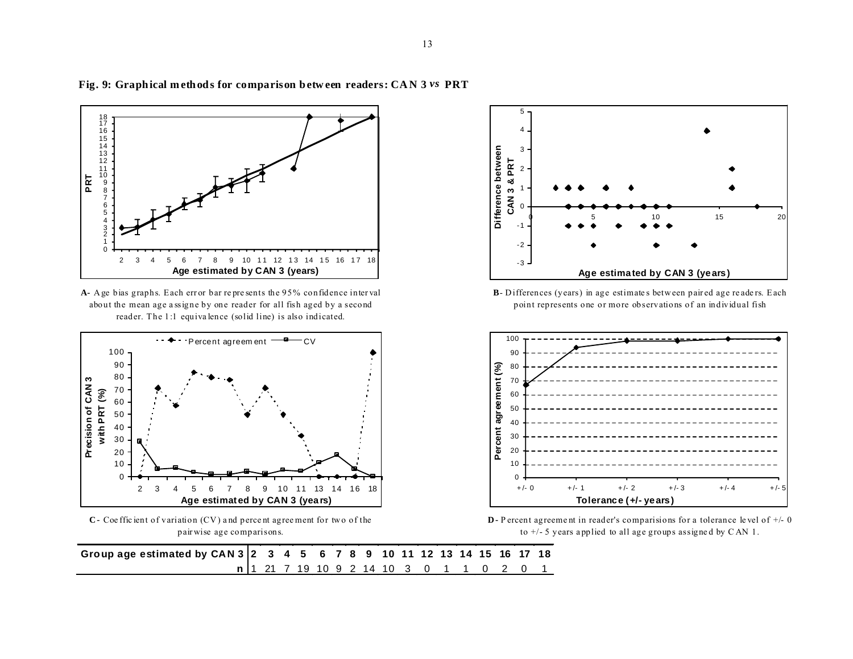

**Fig. 9: Graph ical m eth od s for comparison b etw een readers: CA N 3** *vs* **PRT**

**A-** A ge bias graphs. Each err or bar re pre sents the 95% confidence inter val about the mean age a ssigne by one reader for all fish aged by a second reader. The 1:1 equiva lence (solid line) is also indicated.



**C -** Coe ffic ient of variation (CV ) a nd perce nt agree ment for tw o of the pair wise age comparisons.



**B**-Differences (years) in age estimates between paired age readers. Each point represents one or more observations of an individual fish



**D -** P ercent agreement in reader's comparisions for a tolerance level of  $+/- 0$ to +/- 5 years a pplied to all age groups assigne d by C AN 1.

**Group age estimated by CAN 3 2 3 4 5 6 7 8 9 10 11 12 13 14 15 16 17 18 n** 1 21 7 19 10 9 2 14 10 3 0 1 1 0 2 0 1